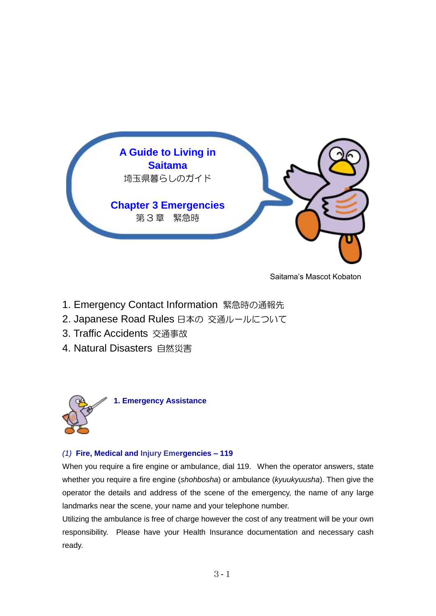

Saitama's Mascot Kobaton

- 1. Emergency Contact Information 緊急時の通報先
- 2. Japanese Road Rules 日本の 交通ルールについて
- 3. Traffic Accidents 交通事故
- 4. Natural Disasters 自然災害



#### *(1)* **Fire, Medical and Injury Emergencies – 119**

When you require a fire engine or ambulance, dial 119. When the operator answers, state whether you require a fire engine (*shohbosha*) or ambulance (*kyuukyuusha*). Then give the operator the details and address of the scene of the emergency, the name of any large landmarks near the scene, your name and your telephone number.

Utilizing the ambulance is free of charge however the cost of any treatment will be your own responsibility. Please have your Health Insurance documentation and necessary cash ready.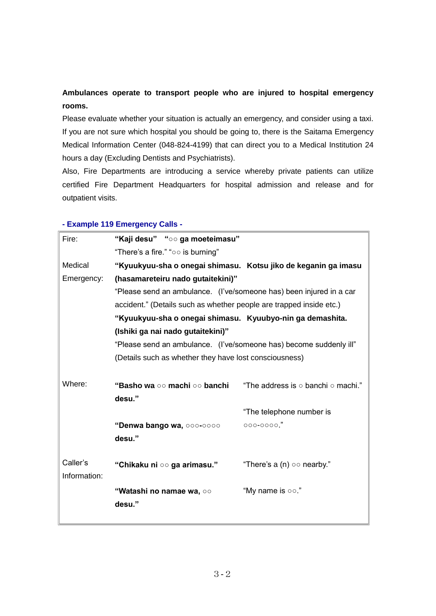# **Ambulances operate to transport people who are injured to hospital emergency rooms.**

Please evaluate whether your situation is actually an emergency, and consider using a taxi. If you are not sure which hospital you should be going to, there is the Saitama Emergency Medical Information Center (048-824-4199) that can direct you to a Medical Institution 24 hours a day (Excluding Dentists and Psychiatrists).

Also, Fire Departments are introducing a service whereby private patients can utilize certified Fire Department Headquarters for hospital admission and release and for outpatient visits.

## **- Example 119 Emergency Calls -**

| Fire:        | "Kaji desu" "oo ga moeteimasu"                                                                                                             |                                                                |  |  |  |
|--------------|--------------------------------------------------------------------------------------------------------------------------------------------|----------------------------------------------------------------|--|--|--|
|              | "There's a fire." "00 is burning"                                                                                                          |                                                                |  |  |  |
| Medical      |                                                                                                                                            | "Kyuukyuu-sha o onegai shimasu. Kotsu jiko de keganin ga imasu |  |  |  |
| Emergency:   | (hasamareteiru nado gutaitekini)"                                                                                                          |                                                                |  |  |  |
|              | "Please send an ambulance. (I've/someone has) been injured in a car<br>accident." (Details such as whether people are trapped inside etc.) |                                                                |  |  |  |
|              |                                                                                                                                            |                                                                |  |  |  |
|              | "Kyuukyuu-sha o onegai shimasu. Kyuubyo-nin ga demashita.                                                                                  |                                                                |  |  |  |
|              | (Ishiki ga nai nado gutaitekini)"                                                                                                          |                                                                |  |  |  |
|              | "Please send an ambulance. (I've/someone has) become suddenly ill"                                                                         |                                                                |  |  |  |
|              | (Details such as whether they have lost consciousness)                                                                                     |                                                                |  |  |  |
|              |                                                                                                                                            |                                                                |  |  |  |
| Where:       | <b>"Basho wa ○○ machi ○○ banchi</b>                                                                                                        | "The address is $\circ$ banchi $\circ$ machi."                 |  |  |  |
|              | desu."                                                                                                                                     |                                                                |  |  |  |
|              |                                                                                                                                            | "The telephone number is                                       |  |  |  |
|              | "Denwa bango wa, ooo-oooo                                                                                                                  | 000-0000."                                                     |  |  |  |
|              | desu."                                                                                                                                     |                                                                |  |  |  |
|              |                                                                                                                                            |                                                                |  |  |  |
| Caller's     | "Chikaku ni oo ga arimasu."                                                                                                                | "There's a (n) $\circ \circ$ nearby."                          |  |  |  |
| Information: |                                                                                                                                            |                                                                |  |  |  |
|              | "Watashi no namae wa, ○○                                                                                                                   | "My name is oo."                                               |  |  |  |
|              | desu."                                                                                                                                     |                                                                |  |  |  |
|              |                                                                                                                                            |                                                                |  |  |  |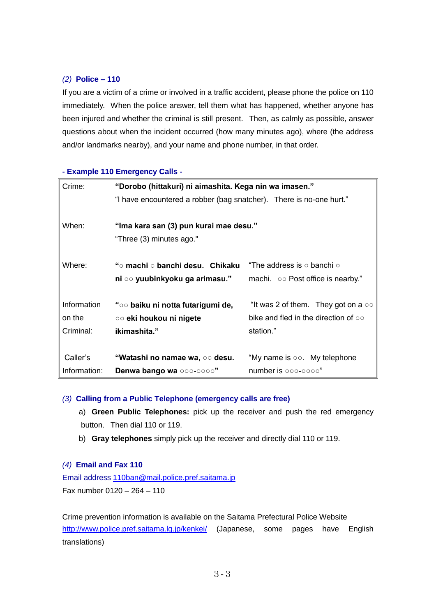## *(2)* **Police – 110**

If you are a victim of a crime or involved in a traffic accident, please phone the police on 110 immediately. When the police answer, tell them what has happened, whether anyone has been injured and whether the criminal is still present. Then, as calmly as possible, answer questions about when the incident occurred (how many minutes ago), where (the address and/or landmarks nearby), and your name and phone number, in that order.

#### **- Example 110 Emergency Calls -**

| Crime:       | "Dorobo (hittakuri) ni aimashita. Kega nin wa imasen."              |                                                 |  |  |
|--------------|---------------------------------------------------------------------|-------------------------------------------------|--|--|
|              | "I have encountered a robber (bag snatcher). There is no-one hurt." |                                                 |  |  |
|              |                                                                     |                                                 |  |  |
| When:        | "Ima kara san (3) pun kurai mae desu."                              |                                                 |  |  |
|              | "Three (3) minutes ago."                                            |                                                 |  |  |
|              |                                                                     |                                                 |  |  |
| Where:       | "○ machi ○ banchi desu. Chikaku.                                    | "The address is ○ banchi ○                      |  |  |
|              | ni ○○ yuubinkyoku ga arimasu."                                      | machi. $\circ \circ$ Post office is nearby."    |  |  |
|              |                                                                     |                                                 |  |  |
| Information  | "○○ baiku ni notta futarigumi de,                                   | "It was 2 of them. They got on a $\circ \circ$  |  |  |
| on the       | ○○ eki houkou ni nigete                                             | bike and fled in the direction of $\circ \circ$ |  |  |
| Criminal:    | ikimashita."                                                        | station."                                       |  |  |
|              |                                                                     |                                                 |  |  |
| Caller's     | "Watashi no namae wa, ○○ desu.                                      | "My name is $\circ \circ$ . My telephone        |  |  |
| Information: | Denwa bango wa ooo-oooo"                                            | number is oco-ocoo"                             |  |  |

#### *(3)* **Calling from a Public Telephone (emergency calls are free)**

- a) **Green Public Telephones:** pick up the receiver and push the red emergency button. Then dial 110 or 119.
- b) **Gray telephones** simply pick up the receiver and directly dial 110 or 119.

#### *(4)* **Email and Fax 110**

Email address [110ban@mail.police.pref.saitama.jp](mailto:110ban@mail.police.pref.saitama.jp) Fax number 0120 – 264 – 110

Crime prevention information is available on the Saitama Prefectural Police Website <http://www.police.pref.saitama.lg.jp/kenkei/> (Japanese, some pages have English translations)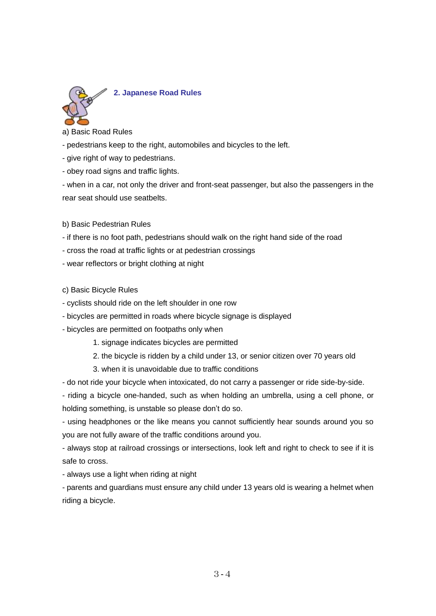

a) Basic Road Rules

- pedestrians keep to the right, automobiles and bicycles to the left.
- give right of way to pedestrians.
- obey road signs and traffic lights.

- when in a car, not only the driver and front-seat passenger, but also the passengers in the rear seat should use seatbelts.

- b) Basic Pedestrian Rules
- if there is no foot path, pedestrians should walk on the right hand side of the road
- cross the road at traffic lights or at pedestrian crossings
- wear reflectors or bright clothing at night
- c) Basic Bicycle Rules
- cyclists should ride on the left shoulder in one row
- bicycles are permitted in roads where bicycle signage is displayed
- bicycles are permitted on footpaths only when
	- 1. signage indicates bicycles are permitted
	- 2. the bicycle is ridden by a child under 13, or senior citizen over 70 years old
	- 3. when it is unavoidable due to traffic conditions

- do not ride your bicycle when intoxicated, do not carry a passenger or ride side-by-side.

- riding a bicycle one-handed, such as when holding an umbrella, using a cell phone, or holding something, is unstable so please don't do so.

- using headphones or the like means you cannot sufficiently hear sounds around you so you are not fully aware of the traffic conditions around you.

- always stop at railroad crossings or intersections, look left and right to check to see if it is safe to cross.

- always use a light when riding at night

- parents and guardians must ensure any child under 13 years old is wearing a helmet when riding a bicycle.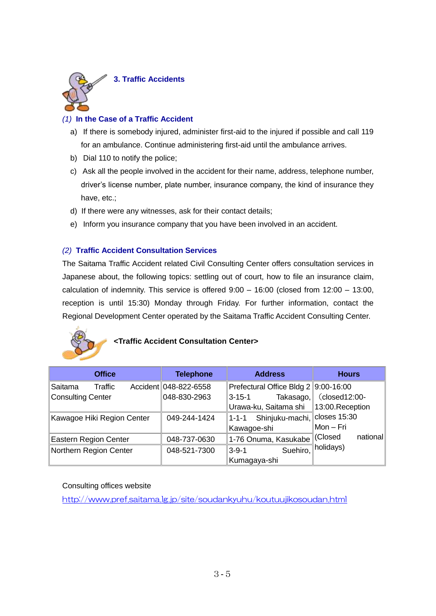

## *(1)* **In the Case of a Traffic Accident**

- a) If there is somebody injured, administer first-aid to the injured if possible and call 119 for an ambulance. Continue administering first-aid until the ambulance arrives.
- b) Dial 110 to notify the police;
- c) Ask all the people involved in the accident for their name, address, telephone number, driver's license number, plate number, insurance company, the kind of insurance they have, etc.;
- d) If there were any witnesses, ask for their contact details;
- e) Inform you insurance company that you have been involved in an accident.

## *(2)* **Traffic Accident Consultation Services**

The Saitama Traffic Accident related Civil Consulting Center offers consultation services in Japanese about, the following topics: settling out of court, how to file an insurance claim, calculation of indemnity. This service is offered  $9:00 - 16:00$  (closed from  $12:00 - 13:00$ , reception is until 15:30) Monday through Friday. For further information, contact the Regional Development Center operated by the Saitama Traffic Accident Consulting Center.



## **<Traffic Accident Consultation Center>**

| <b>Office</b>                | <b>Telephone</b>      | <b>Address</b>                         | <b>Hours</b>     |
|------------------------------|-----------------------|----------------------------------------|------------------|
| Traffic<br>Saitama           | Accident 048-822-6558 | Prefectural Office Bldg 2 9:00-16:00   |                  |
| <b>Consulting Center</b>     | 048-830-2963          | Takasago,<br>3-15-1                    | $(closed12:00-$  |
|                              |                       | Urawa-ku, Saitama shi                  | 13:00. Reception |
| Kawagoe Hiki Region Center   | 049-244-1424          | Shinjuku-machi, closes 15:30<br>∥1-1-1 |                  |
|                              |                       | Kawagoe-shi                            | ∥Mon – Fri       |
| <b>Eastern Region Center</b> | 048-737-0630          | 1-76 Onuma, Kasukabe (Closed           | national         |
| Northern Region Center       | 048-521-7300          | Suehiro,<br>3-9-1                      | ∄holidays)       |
|                              |                       | Kumagaya-shi                           |                  |

Consulting offices website

<http://www.pref.saitama.lg.jp/site/soudankyuhu/koutuujikosoudan.html>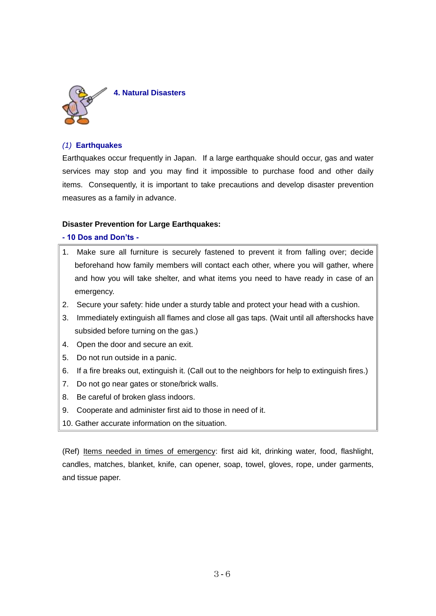

## *(1)* **Earthquakes**

Earthquakes occur frequently in Japan. If a large earthquake should occur, gas and water services may stop and you may find it impossible to purchase food and other daily items. Consequently, it is important to take precautions and develop disaster prevention measures as a family in advance.

#### **Disaster Prevention for Large Earthquakes:**

#### **- 10 Dos and Don'ts -**

- 1. Make sure all furniture is securely fastened to prevent it from falling over; decide beforehand how family members will contact each other, where you will gather, where and how you will take shelter, and what items you need to have ready in case of an emergency.
- 2. Secure your safety: hide under a sturdy table and protect your head with a cushion.
- 3. Immediately extinguish all flames and close all gas taps. (Wait until all aftershocks have subsided before turning on the gas.)
- 4. Open the door and secure an exit.
- 5. Do not run outside in a panic.
- 6. If a fire breaks out, extinguish it. (Call out to the neighbors for help to extinguish fires.)
- 7. Do not go near gates or stone/brick walls.
- 8. Be careful of broken glass indoors.
- 9. Cooperate and administer first aid to those in need of it.
- 10. Gather accurate information on the situation.

(Ref) Items needed in times of emergency: first aid kit, drinking water, food, flashlight, candles, matches, blanket, knife, can opener, soap, towel, gloves, rope, under garments, and tissue paper.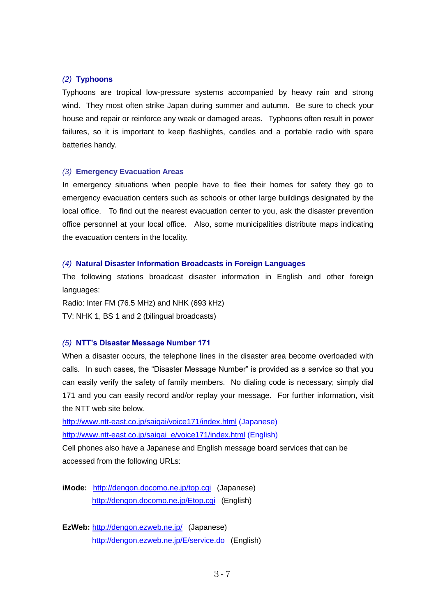#### *(2)* **Typhoons**

Typhoons are tropical low-pressure systems accompanied by heavy rain and strong wind. They most often strike Japan during summer and autumn. Be sure to check your house and repair or reinforce any weak or damaged areas. Typhoons often result in power failures, so it is important to keep flashlights, candles and a portable radio with spare batteries handy.

#### *(3)* **Emergency Evacuation Areas**

In emergency situations when people have to flee their homes for safety they go to emergency evacuation centers such as schools or other large buildings designated by the local office. To find out the nearest evacuation center to you, ask the disaster prevention office personnel at your local office. Also, some municipalities distribute maps indicating the evacuation centers in the locality.

#### *(4)* **Natural Disaster Information Broadcasts in Foreign Languages**

The following stations broadcast disaster information in English and other foreign languages:

Radio: Inter FM (76.5 MHz) and NHK (693 kHz) TV: NHK 1, BS 1 and 2 (bilingual broadcasts)

#### *(5)* **NTT's Disaster Message Number 171**

When a disaster occurs, the telephone lines in the disaster area become overloaded with calls. In such cases, the "Disaster Message Number" is provided as a service so that you can easily verify the safety of family members. No dialing code is necessary; simply dial 171 and you can easily record and/or replay your message. For further information, visit the NTT web site below.

[http://www.ntt-east.co.jp/saigai/voice171/index.html](http://www.ntt-east.co.jp/voiceml) (Japanese)

[http://www.ntt-east.co.jp/saigai\\_e/voice171/index.html](http://www.ntt-east.co.jp/saigai_e/voice171/index.html) (English)

Cell phones also have a Japanese and English message board services that can be accessed from the following URLs:

**iMode:** <http://dengon.docomo.ne.jp/top.cgi> (Japanese) <http://dengon.docomo.ne.jp/Etop.cgi> (English)

**EzWeb:** <http://dengon.ezweb.ne.jp/> (Japanese) <http://dengon.ezweb.ne.jp/E/service.do> (English)